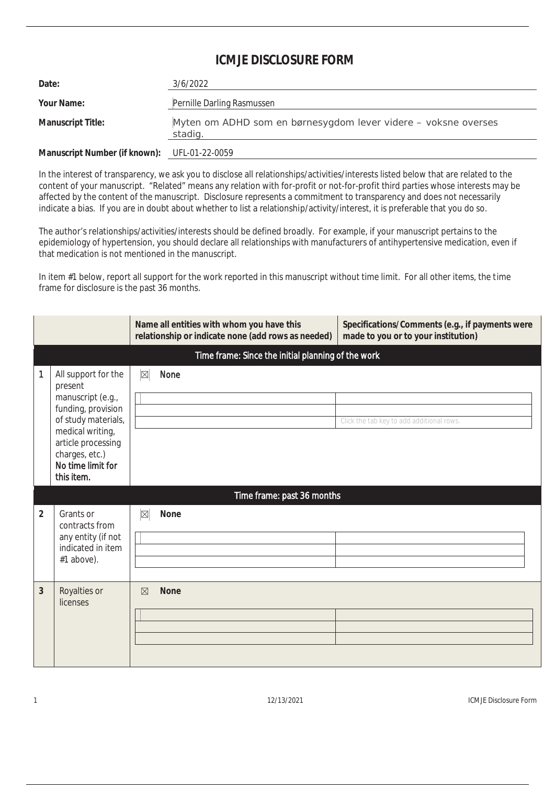## **ICMJF DISCLOSURE FORM**

| Date:                                        | 3/6/2022                                                                  |
|----------------------------------------------|---------------------------------------------------------------------------|
| Your Name:                                   | Pernille Darling Rasmussen                                                |
| <b>Manuscript Title:</b>                     | Myten om ADHD som en børnesygdom lever videre – voksne overses<br>stadig. |
| Manuscript Number (if known): UFL-01-22-0059 |                                                                           |

In the interest of transparency, we ask you to disclose all relationships/activities/interests listed below that are related to the content of your manuscript. "Related" means any relation with for-profit or not-for-profit third parties whose interests may be affected by the content of the manuscript. Disclosure represents a commitment to transparency and does not necessarily indicate a bias. If you are in doubt about whether to list a relationship/activity/interest, it is preferable that you do so.

The author's relationships/activities/interests should be defined broadly. For example, if your manuscript pertains to the epidemiology of hypertension, you should declare all relationships with manufacturers of antihypertensive medication, even if that medication is not mentioned in the manuscript.

In item #1 below, report all support for the work reported in this manuscript without time limit. For all other items, the time frame for disclosure is the past 36 months.

|                |                                                                                                                                                                                                 |             | Name all entities with whom you have this<br>relationship or indicate none (add rows as needed) | Specifications/Comments (e.g., if payments were<br>made to you or to your institution) |  |
|----------------|-------------------------------------------------------------------------------------------------------------------------------------------------------------------------------------------------|-------------|-------------------------------------------------------------------------------------------------|----------------------------------------------------------------------------------------|--|
|                | Time frame: Since the initial planning of the work                                                                                                                                              |             |                                                                                                 |                                                                                        |  |
| 1              | All support for the<br>present<br>manuscript (e.g.,<br>funding, provision<br>of study materials,<br>medical writing,<br>article processing<br>charges, etc.)<br>No time limit for<br>this item. | $\boxtimes$ | None                                                                                            | Click the tab key to add additional rows.                                              |  |
|                | Time frame: past 36 months                                                                                                                                                                      |             |                                                                                                 |                                                                                        |  |
| $\overline{2}$ | Grants or<br>contracts from<br>any entity (if not<br>indicated in item<br>#1 above).                                                                                                            | $\boxtimes$ | <b>None</b>                                                                                     |                                                                                        |  |
| 3              | Royalties or<br>licenses                                                                                                                                                                        | $\nabla$    | <b>None</b>                                                                                     |                                                                                        |  |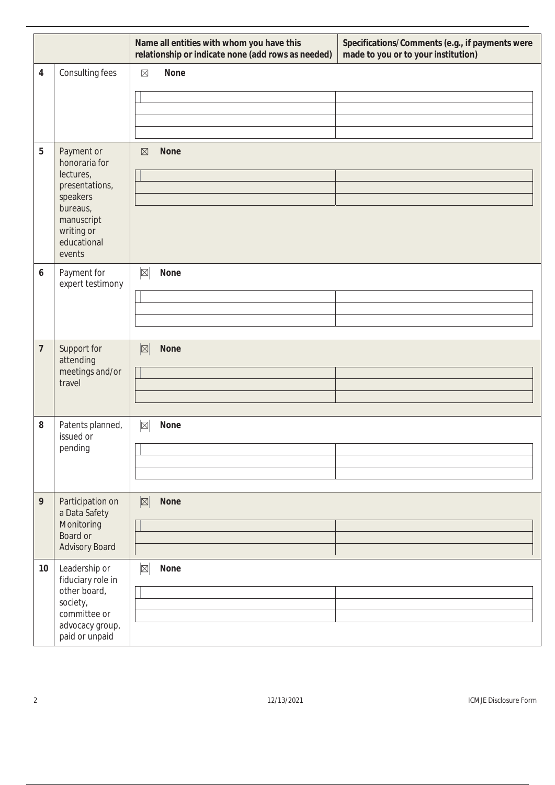|                 |                                                                                                                                         | Name all entities with whom you have this<br>Specifications/Comments (e.g., if payments were<br>relationship or indicate none (add rows as needed)<br>made to you or to your institution) |  |
|-----------------|-----------------------------------------------------------------------------------------------------------------------------------------|-------------------------------------------------------------------------------------------------------------------------------------------------------------------------------------------|--|
| 4               | Consulting fees                                                                                                                         | <b>None</b><br>$\boxtimes$                                                                                                                                                                |  |
| 5               | Payment or<br>honoraria for<br>lectures,<br>presentations,<br>speakers<br>bureaus,<br>manuscript<br>writing or<br>educational<br>events | <b>None</b><br>$\boxtimes$                                                                                                                                                                |  |
| 6               | Payment for<br>expert testimony                                                                                                         | $\boxtimes$<br>None                                                                                                                                                                       |  |
| 7               | Support for<br>attending<br>meetings and/or<br>travel                                                                                   | $\mathbb{Z}$<br><b>None</b>                                                                                                                                                               |  |
| 8               | Patents planned,<br>issued or<br>pending                                                                                                | $\boxtimes$<br>None                                                                                                                                                                       |  |
| 9               | Participation on<br>a Data Safety<br>Monitoring<br>Board or<br>Advisory Board                                                           | $\mathbb{Z}$<br><b>None</b>                                                                                                                                                               |  |
| 10 <sup>°</sup> | Leadership or<br>fiduciary role in<br>other board,<br>society,<br>committee or<br>advocacy group,<br>paid or unpaid                     | $\boxed{\boxtimes}$<br>None                                                                                                                                                               |  |